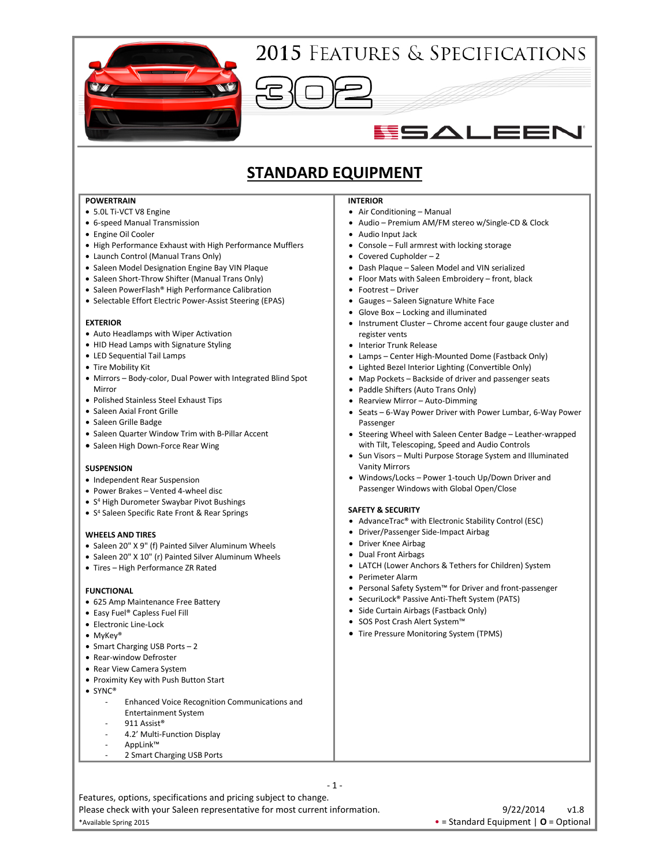

## ESALEEN

### **STANDARD EQUIPMENT**

#### **POWERTRAIN**

- 5.0L Ti-VCT V8 Engine
- 6-speed Manual Transmission
- Engine Oil Cooler
- High Performance Exhaust with High Performance Mufflers
- Launch Control (Manual Trans Only)
- Saleen Model Designation Engine Bay VIN Plaque
- Saleen Short-Throw Shifter (Manual Trans Only)
- Saleen PowerFlash® High Performance Calibration
- Selectable Effort Electric Power-Assist Steering (EPAS)

#### **EXTERIOR**

- Auto Headlamps with Wiper Activation
- HID Head Lamps with Signature Styling
- LED Sequential Tail Lamps
- Tire Mobility Kit
- Mirrors Body-color, Dual Power with Integrated Blind Spot Mirror
- Polished Stainless Steel Exhaust Tips
- Saleen Axial Front Grille
- Saleen Grille Badge
- Saleen Quarter Window Trim with B-Pillar Accent
- Saleen High Down-Force Rear Wing

#### **SUSPENSION**

- Independent Rear Suspension
- Power Brakes Vented 4-wheel disc
- S<sup>4</sup> High Durometer Swaybar Pivot Bushings
- S4 Saleen Specific Rate Front & Rear Springs

#### **WHEELS AND TIRES**

- Saleen 20" X 9" (f) Painted Silver Aluminum Wheels
- Saleen 20" X 10" (r) Painted Silver Aluminum Wheels
- Tires High Performance ZR Rated

#### **FUNCTIONAL**

- 625 Amp Maintenance Free Battery
- Easy Fuel® Capless Fuel Fill
- Electronic Line-Lock
- MyKey®
- Smart Charging USB Ports 2
- Rear-window Defroster
- Rear View Camera System
- Proximity Key with Push Button Start
- SYNC®
	- Enhanced Voice Recognition Communications and Entertainment System
	- 911 Assist<sup>®</sup>
	- 4.2' Multi-Function Display
	- AppLink™
	- 2 Smart Charging USB Ports

#### **INTERIOR**

- Air Conditioning Manual
- Audio Premium AM/FM stereo w/Single-CD & Clock
- Audio Input Jack
- Console Full armrest with locking storage
- Covered Cupholder 2
- Dash Plaque Saleen Model and VIN serialized
- Floor Mats with Saleen Embroidery front, black
- Footrest Driver
- Gauges Saleen Signature White Face
- Glove Box Locking and illuminated
- Instrument Cluster Chrome accent four gauge cluster and register vents
- Interior Trunk Release
- Lamps Center High-Mounted Dome (Fastback Only)
- Lighted Bezel Interior Lighting (Convertible Only)
- Map Pockets Backside of driver and passenger seats
- Paddle Shifters (Auto Trans Only)
- Rearview Mirror Auto-Dimming
- Seats 6-Way Power Driver with Power Lumbar, 6-Way Power Passenger
- Steering Wheel with Saleen Center Badge Leather-wrapped with Tilt, Telescoping, Speed and Audio Controls
- Sun Visors Multi Purpose Storage System and Illuminated Vanity Mirrors
- Windows/Locks Power 1-touch Up/Down Driver and Passenger Windows with Global Open/Close

#### **SAFETY & SECURITY**

- AdvanceTrac® with Electronic Stability Control (ESC)
- Driver/Passenger Side-Impact Airbag
- Driver Knee Airbag
- Dual Front Airbags
- LATCH (Lower Anchors & Tethers for Children) System
- Perimeter Alarm
- Personal Safety System™ for Driver and front-passenger
- SecuriLock® Passive Anti-Theft System (PATS)
- Side Curtain Airbags (Fastback Only)
- SOS Post Crash Alert System™
- Tire Pressure Monitoring System (TPMS)

Features, options, specifications and pricing subject to change. Please check with your Saleen representative for most current information. 9/22/2014 v1.8 \*Available Spring 2015 • = Standard Equipment | **O** = Optional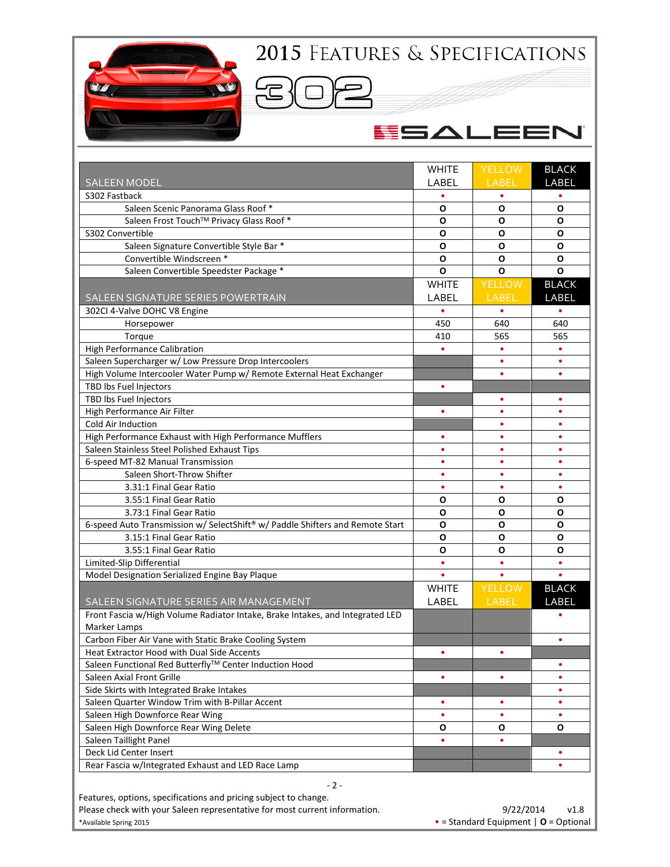

 $\blacksquare$ 

## ESALEEN

|                                                                               | <b>WHITE</b> | <b>YELLOW</b> | <b>BLACK</b> |
|-------------------------------------------------------------------------------|--------------|---------------|--------------|
| <b>SALEEN MODEL</b>                                                           | LABEL        | LABEL         | <b>LABEL</b> |
| S302 Fastback                                                                 |              |               |              |
| Saleen Scenic Panorama Glass Roof *                                           | $\mathbf{o}$ | О             | O            |
| Saleen Frost Touch <sup>TM</sup> Privacy Glass Roof *                         | $\mathbf{o}$ | O             | O            |
| S302 Convertible                                                              | O            | O             | O            |
| Saleen Signature Convertible Style Bar *                                      | O            | O             | O            |
| Convertible Windscreen *                                                      | $\mathbf{o}$ | O             | O            |
| Saleen Convertible Speedster Package *                                        | $\mathbf{o}$ | $\mathbf{o}$  | O            |
|                                                                               | <b>WHITE</b> | <b>YELLOW</b> | <b>BLACK</b> |
| SALEEN SIGNATURE SERIES POWERTRAIN                                            | LABEL        | LABEL         | <b>LABEL</b> |
| 302Cl 4-Valve DOHC V8 Engine                                                  | $\bullet$    | $\bullet$     | $\bullet$    |
| Horsepower                                                                    | 450          | 640           | 640          |
| Torque                                                                        | 410          | 565           | 565          |
| <b>High Performance Calibration</b>                                           | $\bullet$    | $\bullet$     | $\bullet$    |
| Saleen Supercharger w/ Low Pressure Drop Intercoolers                         |              | ٠             | ٠            |
| High Volume Intercooler Water Pump w/ Remote External Heat Exchanger          |              | $\bullet$     | ۰            |
| TBD lbs Fuel Injectors                                                        | $\bullet$    |               |              |
| TBD lbs Fuel Injectors                                                        |              | ٠             | $\bullet$    |
| High Performance Air Filter                                                   | $\bullet$    | $\bullet$     | ٠            |
| Cold Air Induction                                                            |              | $\bullet$     | ٠            |
| High Performance Exhaust with High Performance Mufflers                       |              | $\bullet$     | ٠            |
| Saleen Stainless Steel Polished Exhaust Tips                                  | $\bullet$    | $\bullet$     | $\bullet$    |
| 6-speed MT-82 Manual Transmission                                             |              | $\bullet$     | $\bullet$    |
| Saleen Short-Throw Shifter                                                    | $\bullet$    | $\bullet$     | ٠            |
| 3.31:1 Final Gear Ratio                                                       | $\bullet$    | $\bullet$     | $\bullet$    |
| 3.55:1 Final Gear Ratio                                                       | O            | O             | O            |
| 3.73:1 Final Gear Ratio                                                       | O            | О             | O            |
| 6-speed Auto Transmission w/ SelectShift® w/ Paddle Shifters and Remote Start | O            | O             | О            |
| 3.15:1 Final Gear Ratio                                                       | O            | O             | О            |
| 3.55:1 Final Gear Ratio                                                       | O            | O             | O            |
| Limited-Slip Differential                                                     | $\bullet$    | $\bullet$     | $\bullet$    |
| Model Designation Serialized Engine Bay Plaque                                |              |               |              |
|                                                                               | <b>WHITE</b> | <b>YELLOW</b> | <b>BLACK</b> |
| SALEEN SIGNATURE SERIES AIR MANAGEMENT                                        | LABEL        | LABEL         | LABEL        |
| Front Fascia w/High Volume Radiator Intake, Brake Intakes, and Integrated LED |              |               |              |
| Marker Lamps                                                                  |              |               |              |
| Carbon Fiber Air Vane with Static Brake Cooling System                        |              |               | $\bullet$    |
| Heat Extractor Hood with Dual Side Accents                                    |              |               |              |
| Saleen Functional Red Butterfly™ Center Induction Hood                        |              |               | ۰            |
| Saleen Axial Front Grille                                                     | ٠            | ۰             | ٠            |
| Side Skirts with Integrated Brake Intakes                                     |              |               | ۰            |
| Saleen Quarter Window Trim with B-Pillar Accent                               | ٠            | ٠             | ٠            |
| Saleen High Downforce Rear Wing                                               | $\bullet$    | $\bullet$     | $\bullet$    |
| Saleen High Downforce Rear Wing Delete                                        | 0            | Ο             | O            |
|                                                                               |              |               |              |
| Saleen Taillight Panel<br>Deck Lid Center Insert                              |              | ٠             |              |
|                                                                               |              |               | ٠            |
| Rear Fascia w/Integrated Exhaust and LED Race Lamp                            |              |               |              |
| $-2-$<br>Epatures, options, specifications and pricing subject to change      |              |               |              |

nd pricing subject to change Please check with your Saleen representative for most current information. 9/22/2014 v1.8

\*Available Spring 2015 • = Standard Equipment | **O** = Optional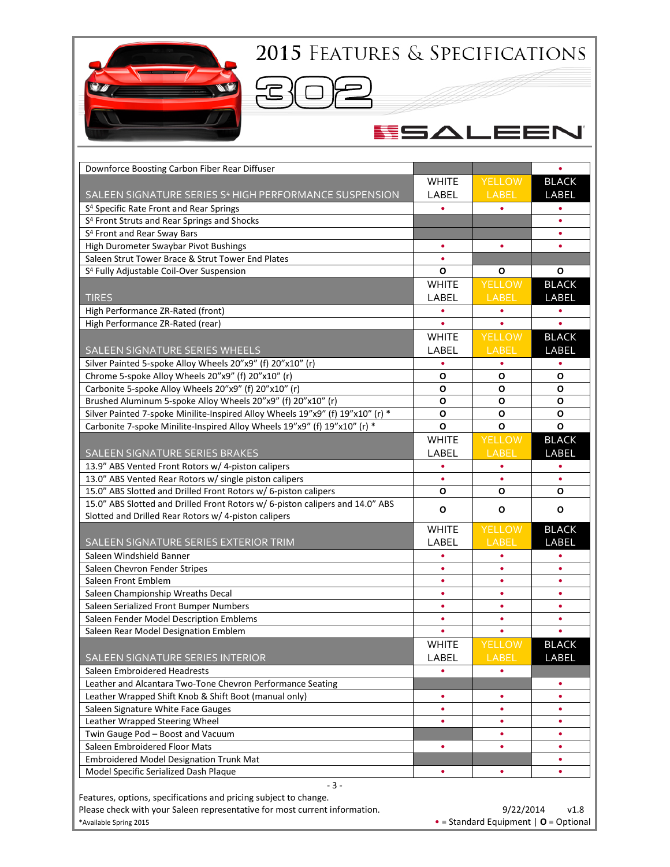

 $\equiv$  )

## ESALEEN

| Downforce Boosting Carbon Fiber Rear Diffuser                                                                                                           |              |               | $\bullet$    |
|---------------------------------------------------------------------------------------------------------------------------------------------------------|--------------|---------------|--------------|
|                                                                                                                                                         | <b>WHITE</b> | <b>YELLOW</b> | <b>BLACK</b> |
| SALEEN SIGNATURE SERIES S <sup>4</sup> HIGH PERFORMANCE SUSPENSION                                                                                      | LABEL        | LABEL         | LABEL        |
| S <sup>4</sup> Specific Rate Front and Rear Springs                                                                                                     | $\bullet$    | $\bullet$     | $\bullet$    |
| S <sup>4</sup> Front Struts and Rear Springs and Shocks                                                                                                 |              |               | ٠            |
| S <sup>4</sup> Front and Rear Sway Bars                                                                                                                 |              |               | $\bullet$    |
| High Durometer Swaybar Pivot Bushings                                                                                                                   | $\bullet$    | ٠             |              |
| Saleen Strut Tower Brace & Strut Tower End Plates                                                                                                       | $\bullet$    |               |              |
| S <sup>4</sup> Fully Adjustable Coil-Over Suspension                                                                                                    | $\mathbf{o}$ | O             | $\mathbf{o}$ |
|                                                                                                                                                         | <b>WHITE</b> | <b>YELLOW</b> | <b>BLACK</b> |
| <b>TIRES</b>                                                                                                                                            | LABEL        | LABEL         | LABEL        |
| High Performance ZR-Rated (front)                                                                                                                       | $\bullet$    | $\bullet$     | $\bullet$    |
| High Performance ZR-Rated (rear)                                                                                                                        | $\bullet$    | $\bullet$     | $\bullet$    |
|                                                                                                                                                         | <b>WHITE</b> | <b>YELLOW</b> | <b>BLACK</b> |
| SALEEN SIGNATURE SERIES WHEELS                                                                                                                          | LABEL        | LABEL         | LABEL        |
| Silver Painted 5-spoke Alloy Wheels 20"x9" (f) 20"x10" (r)                                                                                              | $\bullet$    |               |              |
| Chrome 5-spoke Alloy Wheels 20"x9" (f) 20"x10" (r)                                                                                                      | $\mathbf{o}$ | O             | O            |
| Carbonite 5-spoke Alloy Wheels 20"x9" (f) 20"x10" (r)                                                                                                   | $\mathbf{o}$ | $\mathbf{o}$  | O            |
| Brushed Aluminum 5-spoke Alloy Wheels 20"x9" (f) 20"x10" (r)                                                                                            | $\mathbf{o}$ | $\mathbf{o}$  | O            |
| Silver Painted 7-spoke Minilite-Inspired Alloy Wheels 19"x9" (f) 19"x10" (r) *                                                                          | $\mathbf{o}$ | $\mathbf{o}$  | O            |
| Carbonite 7-spoke Minilite-Inspired Alloy Wheels 19"x9" (f) 19"x10" (r) *                                                                               | O            | O             | O            |
|                                                                                                                                                         | <b>WHITE</b> | <b>YELLOW</b> | <b>BLACK</b> |
|                                                                                                                                                         |              |               |              |
| SALEEN SIGNATURE SERIES BRAKES                                                                                                                          | LABEL        | LABEL         | LABEL        |
| 13.9" ABS Vented Front Rotors w/ 4-piston calipers                                                                                                      | $\bullet$    | $\bullet$     | $\bullet$    |
| 13.0" ABS Vented Rear Rotors w/ single piston calipers                                                                                                  | $\bullet$    | $\bullet$     | ٠            |
| 15.0" ABS Slotted and Drilled Front Rotors w/ 6-piston calipers                                                                                         | O            | O             | О            |
| 15.0" ABS Slotted and Drilled Front Rotors w/ 6-piston calipers and 14.0" ABS                                                                           | $\mathbf{o}$ | O             | O            |
| Slotted and Drilled Rear Rotors w/ 4-piston calipers                                                                                                    |              | <b>YELLOW</b> |              |
|                                                                                                                                                         | <b>WHITE</b> |               | <b>BLACK</b> |
| SALEEN SIGNATURE SERIES EXTERIOR TRIM                                                                                                                   | LABEL        | LABEL         | LABEL        |
| Saleen Windshield Banner                                                                                                                                | $\bullet$    | $\bullet$     | ٠            |
| Saleen Chevron Fender Stripes                                                                                                                           | $\bullet$    | $\bullet$     |              |
| Saleen Front Emblem                                                                                                                                     | $\bullet$    | $\bullet$     | $\bullet$    |
| Saleen Championship Wreaths Decal                                                                                                                       | $\bullet$    | $\bullet$     | $\bullet$    |
| Saleen Serialized Front Bumper Numbers                                                                                                                  | $\bullet$    | $\bullet$     | $\bullet$    |
| Saleen Fender Model Description Emblems                                                                                                                 | $\bullet$    | $\bullet$     | $\bullet$    |
| Saleen Rear Model Designation Emblem                                                                                                                    | $\bullet$    | $\bullet$     | $\bullet$    |
|                                                                                                                                                         | <b>WHITE</b> | YELLOW        | <b>BLACK</b> |
| SALEEN SIGNATURE SERIES INTERIOR                                                                                                                        | LABEL        | LABEL         | LABEL        |
| Saleen Embroidered Headrests                                                                                                                            |              | ٠             |              |
| Leather and Alcantara Two-Tone Chevron Performance Seating                                                                                              |              |               | $\bullet$    |
| Leather Wrapped Shift Knob & Shift Boot (manual only)                                                                                                   | $\bullet$    | ٠             | $\bullet$    |
| Saleen Signature White Face Gauges                                                                                                                      | ٠            | ٠             | ٠            |
| Leather Wrapped Steering Wheel                                                                                                                          | $\bullet$    | $\bullet$     | $\bullet$    |
| Twin Gauge Pod - Boost and Vacuum                                                                                                                       |              | ٠             | $\bullet$    |
| Saleen Embroidered Floor Mats                                                                                                                           | ٠            | ۰             | ٠            |
| Embroidered Model Designation Trunk Mat                                                                                                                 |              |               | ٠            |
| Model Specific Serialized Dash Plaque                                                                                                                   | ٠            | ٠             | $\bullet$    |
| $-3-$<br>Features, options, specifications and pricing subject to change.<br>Please check with your Saleen representative for most current information. |              | 9/22/2014     | v1.8         |

\*Available Spring 2015 • = Standard Equipment | **O** = Optional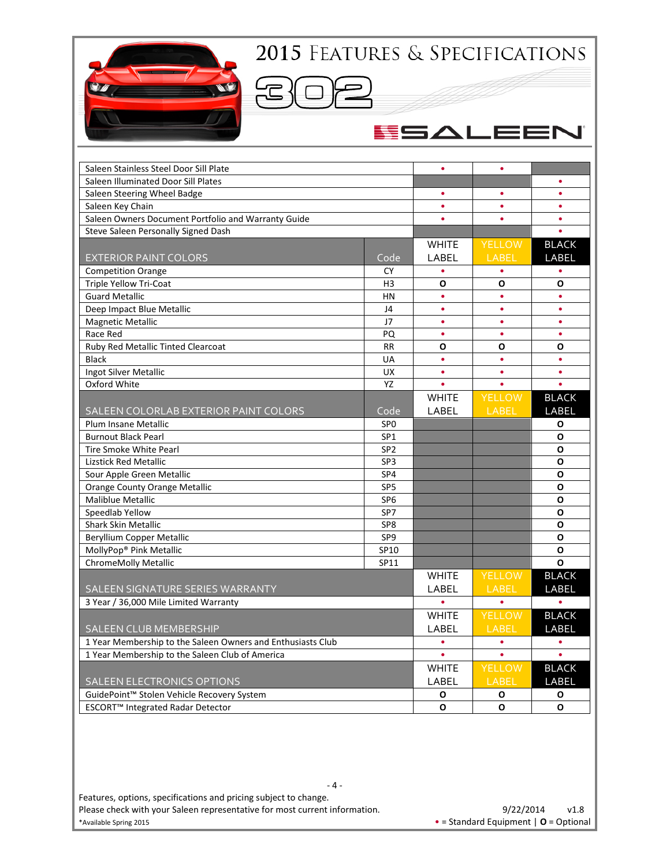

### ESALEEN

| Saleen Stainless Steel Door Sill Plate                      |                 | $\bullet$    | $\bullet$     |              |
|-------------------------------------------------------------|-----------------|--------------|---------------|--------------|
| Saleen Illuminated Door Sill Plates                         |                 |              |               | ٠            |
| Saleen Steering Wheel Badge                                 |                 | $\bullet$    | ٠             | $\bullet$    |
| Saleen Key Chain                                            |                 | $\bullet$    | $\bullet$     | $\bullet$    |
| Saleen Owners Document Portfolio and Warranty Guide         |                 |              |               | $\bullet$    |
| Steve Saleen Personally Signed Dash                         |                 |              |               | $\bullet$    |
|                                                             |                 | <b>WHITE</b> | <b>YELLOW</b> | <b>BLACK</b> |
| <b>EXTERIOR PAINT COLORS</b>                                | Code            | LABEL        | LABEL         | LABEL        |
| <b>Competition Orange</b>                                   | <b>CY</b>       | $\bullet$    | $\bullet$     | $\bullet$    |
| <b>Triple Yellow Tri-Coat</b>                               | H <sub>3</sub>  | O            | O             | O            |
| <b>Guard Metallic</b>                                       | <b>HN</b>       | $\bullet$    |               | $\bullet$    |
| Deep Impact Blue Metallic                                   | J4              | $\bullet$    | ٠             | $\bullet$    |
| <b>Magnetic Metallic</b>                                    | J7              | $\bullet$    | $\bullet$     | $\bullet$    |
| Race Red                                                    | PQ              | $\bullet$    | $\bullet$     | $\bullet$    |
| Ruby Red Metallic Tinted Clearcoat                          | <b>RR</b>       | O            | O             | O            |
| <b>Black</b>                                                | <b>UA</b>       | $\bullet$    | $\bullet$     | $\bullet$    |
| Ingot Silver Metallic                                       | UX              | $\bullet$    | ٠             | $\bullet$    |
| Oxford White                                                | YZ              |              |               | $\bullet$    |
|                                                             |                 | <b>WHITE</b> | <b>YELLOW</b> | <b>BLACK</b> |
| SALEEN COLORLAB EXTERIOR PAINT COLORS                       | Code            | LABEL        | LABEL         | <b>LABEL</b> |
| Plum Insane Metallic                                        | SP <sub>0</sub> |              |               | О            |
| <b>Burnout Black Pearl</b>                                  | SP <sub>1</sub> |              |               | O            |
| <b>Tire Smoke White Pearl</b>                               | SP <sub>2</sub> |              |               | $\mathbf{o}$ |
| <b>Lizstick Red Metallic</b>                                | SP3             |              |               | O            |
| Sour Apple Green Metallic                                   | SP4             |              |               | O            |
| <b>Orange County Orange Metallic</b>                        | SP <sub>5</sub> |              |               | O            |
| <b>Maliblue Metallic</b>                                    | SP <sub>6</sub> |              |               | O            |
| Speedlab Yellow                                             | SP7             |              |               | O            |
| Shark Skin Metallic                                         | SP8             |              |               | O            |
| <b>Beryllium Copper Metallic</b>                            | SP <sub>9</sub> |              |               | O            |
| MollyPop® Pink Metallic                                     | SP10            |              |               | О            |
| ChromeMolly Metallic                                        | SP11            |              |               | O            |
|                                                             |                 | <b>WHITE</b> | <b>YELLOW</b> | <b>BLACK</b> |
| SALEEN SIGNATURE SERIES WARRANTY                            |                 | LABEL        | LABEL         | <b>LABEL</b> |
| 3 Year / 36,000 Mile Limited Warranty                       |                 |              |               |              |
|                                                             |                 | <b>WHITE</b> | <b>YELLOW</b> | <b>BLACK</b> |
| SALEEN CLUB MEMBERSHIP                                      |                 | <b>LABEL</b> | LABEL         | <b>LABEL</b> |
| 1 Year Membership to the Saleen Owners and Enthusiasts Club |                 | $\bullet$    | $\bullet$     | $\bullet$    |
| 1 Year Membership to the Saleen Club of America             |                 | $\bullet$    | $\bullet$     | $\bullet$    |
|                                                             |                 | <b>WHITE</b> | <b>YELLOW</b> | <b>BLACK</b> |
| <b>SALEEN ELECTRONICS OPTIONS</b>                           |                 | LABEL        | LABEL         | LABEL        |
| GuidePoint™ Stolen Vehicle Recovery System                  |                 | О            | O             | O            |
| ESCORT™ Integrated Radar Detector                           |                 | O            | O             | O            |
|                                                             |                 |              |               |              |

- 4 -

Features, options, specifications and pricing subject to change. Please check with your Saleen representative for most current information. 9/22/2014 v1.8 \*Available Spring 2015 • = Standard Equipment | **O** = Optional